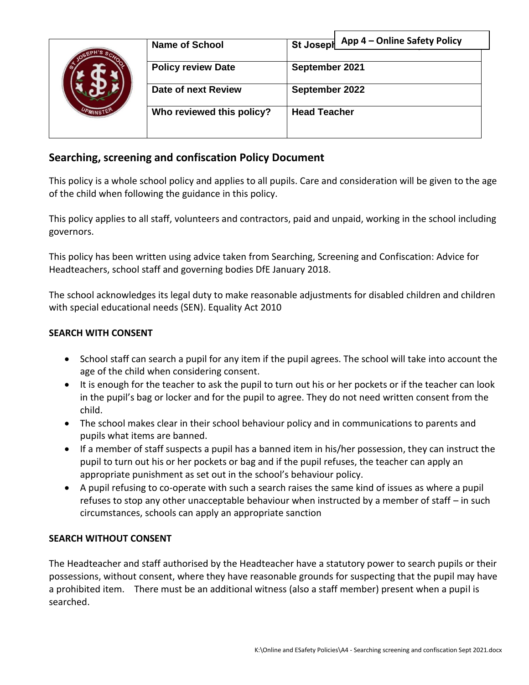|  | <b>Name of School</b>     | App 4 - Online Safety Policy<br>St Joseph |
|--|---------------------------|-------------------------------------------|
|  | <b>Policy review Date</b> | September 2021                            |
|  | Date of next Review       | September 2022                            |
|  | Who reviewed this policy? | <b>Head Teacher</b>                       |
|  |                           |                                           |

# **Searching, screening and confiscation Policy Document**

This policy is a whole school policy and applies to all pupils. Care and consideration will be given to the age of the child when following the guidance in this policy.

This policy applies to all staff, volunteers and contractors, paid and unpaid, working in the school including governors.

This policy has been written using advice taken from Searching, Screening and Confiscation: Advice for Headteachers, school staff and governing bodies DfE January 2018.

The school acknowledges its legal duty to make reasonable adjustments for disabled children and children with special educational needs (SEN). Equality Act 2010

#### **SEARCH WITH CONSENT**

- School staff can search a pupil for any item if the pupil agrees. The school will take into account the age of the child when considering consent.
- It is enough for the teacher to ask the pupil to turn out his or her pockets or if the teacher can look in the pupil's bag or locker and for the pupil to agree. They do not need written consent from the child.
- The school makes clear in their school behaviour policy and in communications to parents and pupils what items are banned.
- If a member of staff suspects a pupil has a banned item in his/her possession, they can instruct the pupil to turn out his or her pockets or bag and if the pupil refuses, the teacher can apply an appropriate punishment as set out in the school's behaviour policy.
- A pupil refusing to co-operate with such a search raises the same kind of issues as where a pupil refuses to stop any other unacceptable behaviour when instructed by a member of staff – in such circumstances, schools can apply an appropriate sanction

#### **SEARCH WITHOUT CONSENT**

The Headteacher and staff authorised by the Headteacher have a statutory power to search pupils or their possessions, without consent, where they have reasonable grounds for suspecting that the pupil may have a prohibited item. There must be an additional witness (also a staff member) present when a pupil is searched.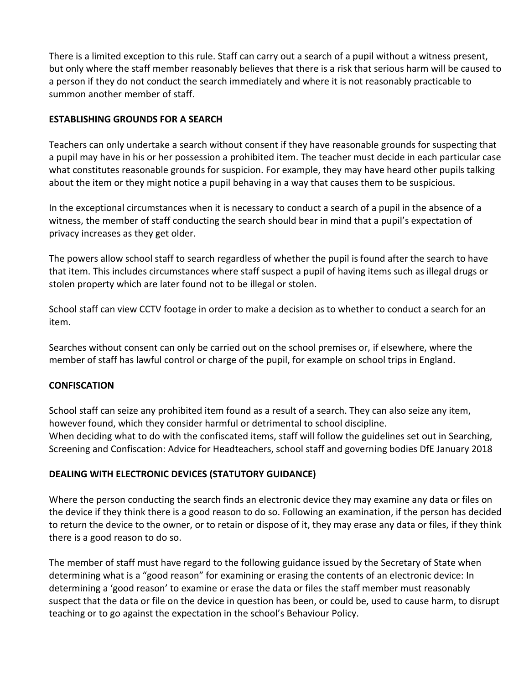There is a limited exception to this rule. Staff can carry out a search of a pupil without a witness present, but only where the staff member reasonably believes that there is a risk that serious harm will be caused to a person if they do not conduct the search immediately and where it is not reasonably practicable to summon another member of staff.

### **ESTABLISHING GROUNDS FOR A SEARCH**

Teachers can only undertake a search without consent if they have reasonable grounds for suspecting that a pupil may have in his or her possession a prohibited item. The teacher must decide in each particular case what constitutes reasonable grounds for suspicion. For example, they may have heard other pupils talking about the item or they might notice a pupil behaving in a way that causes them to be suspicious.

In the exceptional circumstances when it is necessary to conduct a search of a pupil in the absence of a witness, the member of staff conducting the search should bear in mind that a pupil's expectation of privacy increases as they get older.

The powers allow school staff to search regardless of whether the pupil is found after the search to have that item. This includes circumstances where staff suspect a pupil of having items such as illegal drugs or stolen property which are later found not to be illegal or stolen.

School staff can view CCTV footage in order to make a decision as to whether to conduct a search for an item.

Searches without consent can only be carried out on the school premises or, if elsewhere, where the member of staff has lawful control or charge of the pupil, for example on school trips in England.

### **CONFISCATION**

School staff can seize any prohibited item found as a result of a search. They can also seize any item, however found, which they consider harmful or detrimental to school discipline. When deciding what to do with the confiscated items, staff will follow the guidelines set out in Searching, Screening and Confiscation: Advice for Headteachers, school staff and governing bodies DfE January 2018

## **DEALING WITH ELECTRONIC DEVICES (STATUTORY GUIDANCE)**

Where the person conducting the search finds an electronic device they may examine any data or files on the device if they think there is a good reason to do so. Following an examination, if the person has decided to return the device to the owner, or to retain or dispose of it, they may erase any data or files, if they think there is a good reason to do so.

The member of staff must have regard to the following guidance issued by the Secretary of State when determining what is a "good reason" for examining or erasing the contents of an electronic device: In determining a 'good reason' to examine or erase the data or files the staff member must reasonably suspect that the data or file on the device in question has been, or could be, used to cause harm, to disrupt teaching or to go against the expectation in the school's Behaviour Policy.